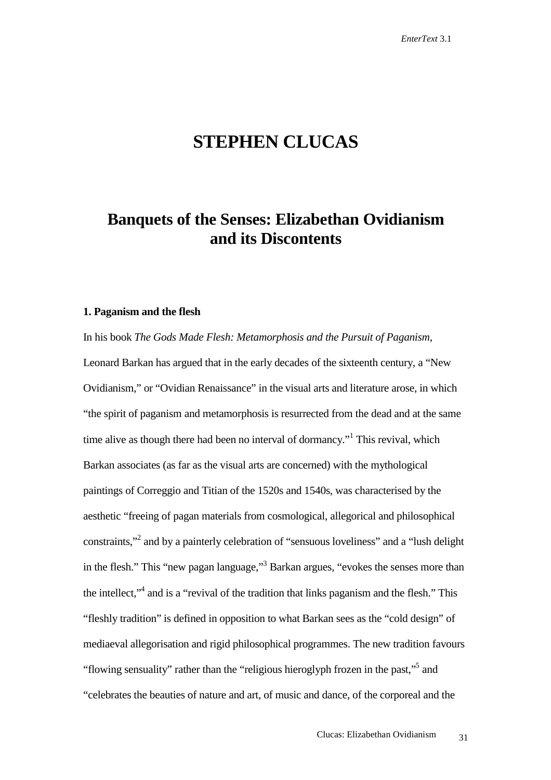# **STEPHEN CLUCAS**

### **Banquets of the Senses: Elizabethan Ovidianism and its Discontents**

#### **1. Paganism and the flesh**

In his book *The Gods Made Flesh: Metamorphosis and the Pursuit of Paganism*, Leonard Barkan has argued that in the early decades of the sixteenth century, a "New Ovidianism," or "Ovidian Renaissance" in the visual arts and literature arose, in which "the spirit of paganism and metamorphosis is resurrected from the dead and at the same time alive as though there had been no interval of dormancy."<sup>1</sup> This revival, which Barkan associates (as far as the visual arts are concerned) with the mythological paintings of Correggio and Titian of the 1520s and 1540s, was characterised by the aesthetic "freeing of pagan materials from cosmological, allegorical and philosophical constraints,"<sup>2</sup> and by a painterly celebration of "sensuous loveliness" and a "lush delight in the flesh." This "new pagan language,"<sup>3</sup> Barkan argues, "evokes the senses more than the intellect,"<sup>4</sup> and is a "revival of the tradition that links paganism and the flesh." This "fleshly tradition" is defined in opposition to what Barkan sees as the "cold design" of mediaeval allegorisation and rigid philosophical programmes. The new tradition favours "flowing sensuality" rather than the "religious hieroglyph frozen in the past,"<sup>5</sup> and "celebrates the beauties of nature and art, of music and dance, of the corporeal and the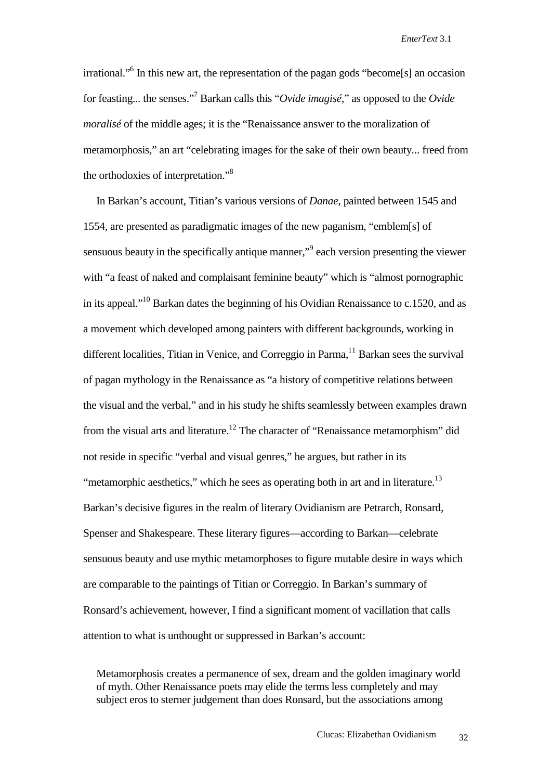irrational."<sup>6</sup> In this new art, the representation of the pagan gods "become[s] an occasion for feasting... the senses."7 Barkan calls this "*Ovide imagisé*," as opposed to the *Ovide moralisé* of the middle ages; it is the "Renaissance answer to the moralization of metamorphosis," an art "celebrating images for the sake of their own beauty... freed from the orthodoxies of interpretation."8

 In Barkan's account, Titian's various versions of *Danae*, painted between 1545 and 1554, are presented as paradigmatic images of the new paganism, "emblem[s] of sensuous beauty in the specifically antique manner,"<sup>9</sup> each version presenting the viewer with "a feast of naked and complaisant feminine beauty" which is "almost pornographic in its appeal."10 Barkan dates the beginning of his Ovidian Renaissance to c.1520, and as a movement which developed among painters with different backgrounds, working in different localities. Titian in Venice, and Correggio in Parma,  $11$  Barkan sees the survival of pagan mythology in the Renaissance as "a history of competitive relations between the visual and the verbal," and in his study he shifts seamlessly between examples drawn from the visual arts and literature.<sup>12</sup> The character of "Renaissance metamorphism" did not reside in specific "verbal and visual genres," he argues, but rather in its "metamorphic aesthetics," which he sees as operating both in art and in literature.<sup>13</sup> Barkan's decisive figures in the realm of literary Ovidianism are Petrarch, Ronsard, Spenser and Shakespeare. These literary figures—according to Barkan—celebrate sensuous beauty and use mythic metamorphoses to figure mutable desire in ways which are comparable to the paintings of Titian or Correggio. In Barkan's summary of Ronsard's achievement, however, I find a significant moment of vacillation that calls attention to what is unthought or suppressed in Barkan's account:

Metamorphosis creates a permanence of sex, dream and the golden imaginary world of myth. Other Renaissance poets may elide the terms less completely and may subject eros to sterner judgement than does Ronsard, but the associations among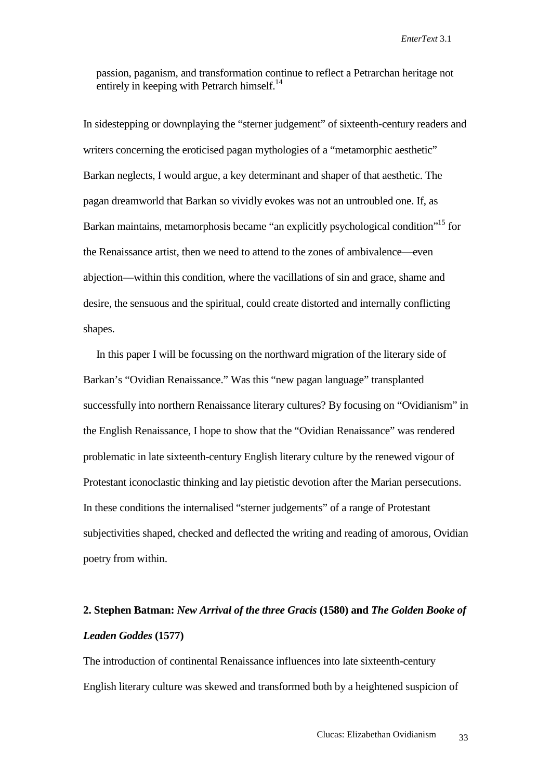passion, paganism, and transformation continue to reflect a Petrarchan heritage not entirely in keeping with Petrarch himself.<sup>14</sup>

In sidestepping or downplaying the "sterner judgement" of sixteenth-century readers and writers concerning the eroticised pagan mythologies of a "metamorphic aesthetic" Barkan neglects, I would argue, a key determinant and shaper of that aesthetic. The pagan dreamworld that Barkan so vividly evokes was not an untroubled one. If, as Barkan maintains, metamorphosis became "an explicitly psychological condition"<sup>15</sup> for the Renaissance artist, then we need to attend to the zones of ambivalence—even abjection—within this condition, where the vacillations of sin and grace, shame and desire, the sensuous and the spiritual, could create distorted and internally conflicting shapes.

 In this paper I will be focussing on the northward migration of the literary side of Barkan's "Ovidian Renaissance." Was this "new pagan language" transplanted successfully into northern Renaissance literary cultures? By focusing on "Ovidianism" in the English Renaissance, I hope to show that the "Ovidian Renaissance" was rendered problematic in late sixteenth-century English literary culture by the renewed vigour of Protestant iconoclastic thinking and lay pietistic devotion after the Marian persecutions. In these conditions the internalised "sterner judgements" of a range of Protestant subjectivities shaped, checked and deflected the writing and reading of amorous, Ovidian poetry from within.

## **2. Stephen Batman:** *New Arrival of the three Gracis* **(1580) and** *The Golden Booke of Leaden Goddes* **(1577)**

The introduction of continental Renaissance influences into late sixteenth-century English literary culture was skewed and transformed both by a heightened suspicion of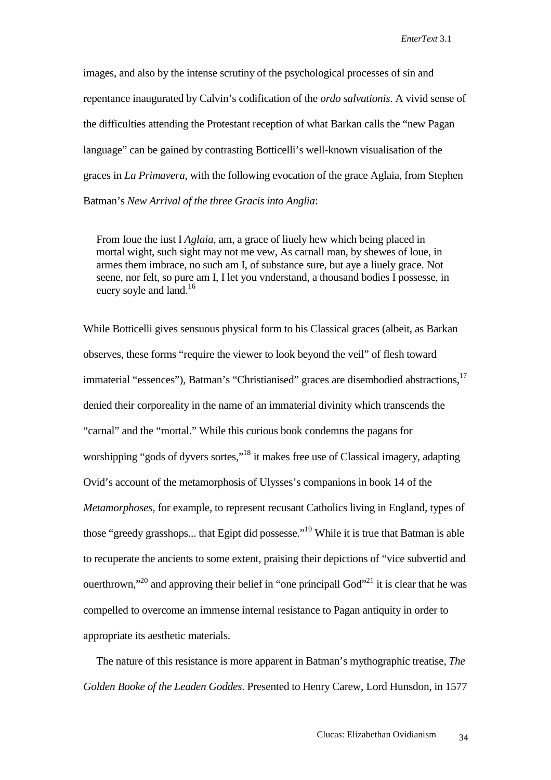images, and also by the intense scrutiny of the psychological processes of sin and repentance inaugurated by Calvin's codification of the *ordo salvationis*. A vivid sense of the difficulties attending the Protestant reception of what Barkan calls the "new Pagan language" can be gained by contrasting Botticelli's well-known visualisation of the graces in *La Primavera*, with the following evocation of the grace Aglaia, from Stephen Batman's *New Arrival of the three Gracis into Anglia*:

From Ioue the iust I *Aglaia*, am, a grace of liuely hew which being placed in mortal wight, such sight may not me vew, As carnall man, by shewes of loue, in armes them imbrace, no such am I, of substance sure, but aye a liuely grace. Not seene, nor felt, so pure am I, I let you vnderstand, a thousand bodies I possesse, in euery soyle and land.<sup>16</sup>

While Botticelli gives sensuous physical form to his Classical graces (albeit, as Barkan observes, these forms "require the viewer to look beyond the veil" of flesh toward immaterial "essences"), Batman's "Christianised" graces are disembodied abstractions,<sup>17</sup> denied their corporeality in the name of an immaterial divinity which transcends the "carnal" and the "mortal." While this curious book condemns the pagans for worshipping "gods of dyvers sortes,"<sup>18</sup> it makes free use of Classical imagery, adapting Ovid's account of the metamorphosis of Ulysses's companions in book 14 of the *Metamorphoses*, for example, to represent recusant Catholics living in England, types of those "greedy grasshops... that Egipt did possesse."<sup>19</sup> While it is true that Batman is able to recuperate the ancients to some extent, praising their depictions of "vice subvertid and ouerthrown,"<sup>20</sup> and approving their belief in "one principall God"<sup>21</sup> it is clear that he was compelled to overcome an immense internal resistance to Pagan antiquity in order to appropriate its aesthetic materials.

 The nature of this resistance is more apparent in Batman's mythographic treatise, *The Golden Booke of the Leaden Goddes*. Presented to Henry Carew, Lord Hunsdon, in 1577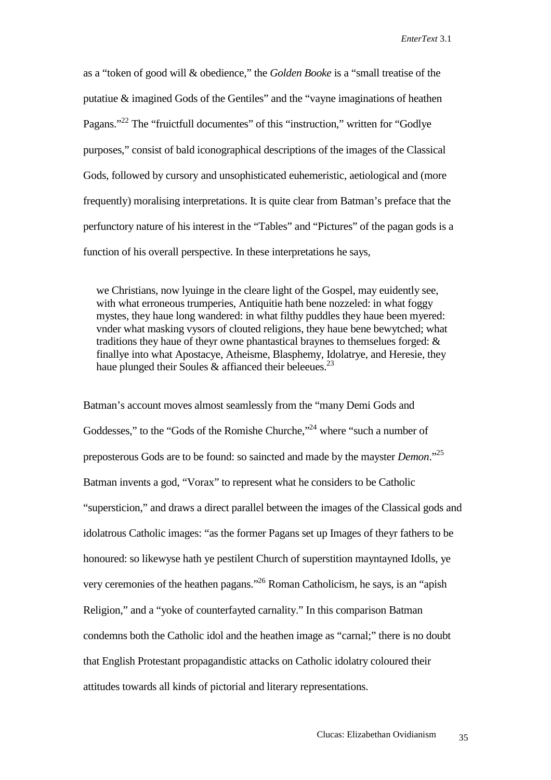as a "token of good will & obedience," the *Golden Booke* is a "small treatise of the putatiue & imagined Gods of the Gentiles" and the "vayne imaginations of heathen Pagans."<sup>22</sup> The "fruictfull documentes" of this "instruction," written for "Godlye" purposes," consist of bald iconographical descriptions of the images of the Classical Gods, followed by cursory and unsophisticated euhemeristic, aetiological and (more frequently) moralising interpretations. It is quite clear from Batman's preface that the perfunctory nature of his interest in the "Tables" and "Pictures" of the pagan gods is a function of his overall perspective. In these interpretations he says,

we Christians, now lyuinge in the cleare light of the Gospel, may euidently see, with what erroneous trumperies, Antiquitie hath bene nozzeled: in what foggy mystes, they haue long wandered: in what filthy puddles they haue been myered: vnder what masking vysors of clouted religions, they haue bene bewytched; what traditions they haue of theyr owne phantastical braynes to themselues forged: & finallye into what Apostacye, Atheisme, Blasphemy, Idolatrye, and Heresie, they haue plunged their Soules & affianced their beleeues.<sup>23</sup>

Batman's account moves almost seamlessly from the "many Demi Gods and Goddesses," to the "Gods of the Romishe Churche,"<sup>24</sup> where "such a number of preposterous Gods are to be found: so saincted and made by the mayster *Demon*."25 Batman invents a god, "Vorax" to represent what he considers to be Catholic "supersticion," and draws a direct parallel between the images of the Classical gods and idolatrous Catholic images: "as the former Pagans set up Images of theyr fathers to be honoured: so likewyse hath ye pestilent Church of superstition mayntayned Idolls, ye very ceremonies of the heathen pagans."26 Roman Catholicism, he says, is an "apish Religion," and a "yoke of counterfayted carnality." In this comparison Batman condemns both the Catholic idol and the heathen image as "carnal;" there is no doubt that English Protestant propagandistic attacks on Catholic idolatry coloured their attitudes towards all kinds of pictorial and literary representations.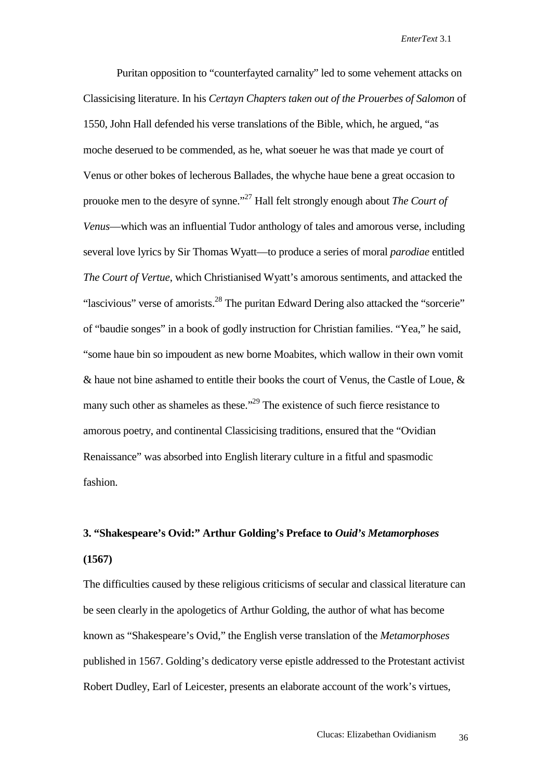Puritan opposition to "counterfayted carnality" led to some vehement attacks on Classicising literature. In his *Certayn Chapters taken out of the Prouerbes of Salomon* of 1550, John Hall defended his verse translations of the Bible, which, he argued, "as moche deserued to be commended, as he, what soeuer he was that made ye court of Venus or other bokes of lecherous Ballades, the whyche haue bene a great occasion to prouoke men to the desyre of synne."27 Hall felt strongly enough about *The Court of Venus*—which was an influential Tudor anthology of tales and amorous verse, including several love lyrics by Sir Thomas Wyatt—to produce a series of moral *parodiae* entitled *The Court of Vertue*, which Christianised Wyatt's amorous sentiments, and attacked the "lascivious" verse of amorists.<sup>28</sup> The puritan Edward Dering also attacked the "sorcerie" of "baudie songes" in a book of godly instruction for Christian families. "Yea," he said, "some haue bin so impoudent as new borne Moabites, which wallow in their own vomit & haue not bine ashamed to entitle their books the court of Venus, the Castle of Loue, & many such other as shameles as these."<sup>29</sup> The existence of such fierce resistance to amorous poetry, and continental Classicising traditions, ensured that the "Ovidian Renaissance" was absorbed into English literary culture in a fitful and spasmodic fashion.

### **3. "Shakespeare's Ovid:" Arthur Golding's Preface to** *Ouid's Metamorphoses* **(1567)**

The difficulties caused by these religious criticisms of secular and classical literature can be seen clearly in the apologetics of Arthur Golding, the author of what has become known as "Shakespeare's Ovid," the English verse translation of the *Metamorphoses* published in 1567. Golding's dedicatory verse epistle addressed to the Protestant activist Robert Dudley, Earl of Leicester, presents an elaborate account of the work's virtues,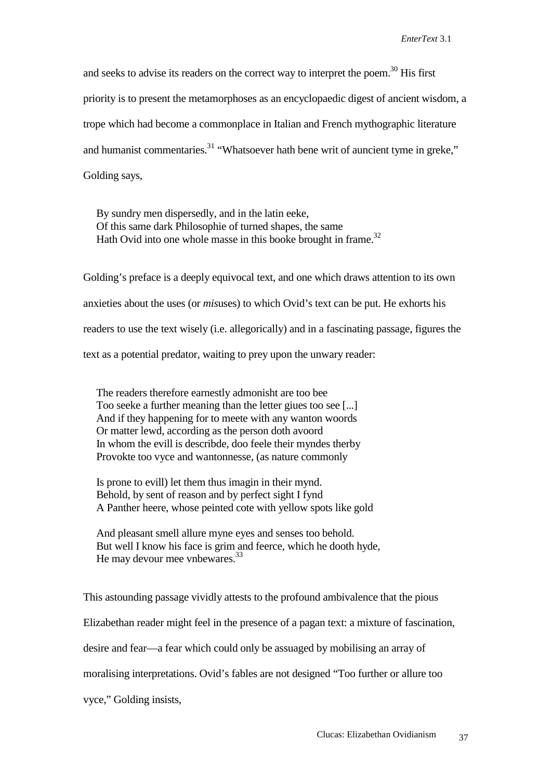and seeks to advise its readers on the correct way to interpret the poem.<sup>30</sup> His first priority is to present the metamorphoses as an encyclopaedic digest of ancient wisdom, a trope which had become a commonplace in Italian and French mythographic literature and humanist commentaries.<sup>31</sup> "Whatsoever hath bene writ of auncient tyme in greke," Golding says,

By sundry men dispersedly, and in the latin eeke, Of this same dark Philosophie of turned shapes, the same Hath Ovid into one whole masse in this booke brought in frame.<sup>32</sup>

Golding's preface is a deeply equivocal text, and one which draws attention to its own anxieties about the uses (or *mis*uses) to which Ovid's text can be put. He exhorts his readers to use the text wisely (i.e. allegorically) and in a fascinating passage, figures the text as a potential predator, waiting to prey upon the unwary reader:

The readers therefore earnestly admonisht are too bee Too seeke a further meaning than the letter giues too see [...] And if they happening for to meete with any wanton woords Or matter lewd, according as the person doth avoord In whom the evill is describde, doo feele their myndes therby Provokte too vyce and wantonnesse, (as nature commonly

Is prone to evill) let them thus imagin in their mynd. Behold, by sent of reason and by perfect sight I fynd A Panther heere, whose peinted cote with yellow spots like gold

And pleasant smell allure myne eyes and senses too behold. But well I know his face is grim and feerce, which he dooth hyde, He may devour mee vnbewares.<sup>33</sup>

This astounding passage vividly attests to the profound ambivalence that the pious Elizabethan reader might feel in the presence of a pagan text: a mixture of fascination, desire and fear—a fear which could only be assuaged by mobilising an array of moralising interpretations. Ovid's fables are not designed "Too further or allure too vyce," Golding insists,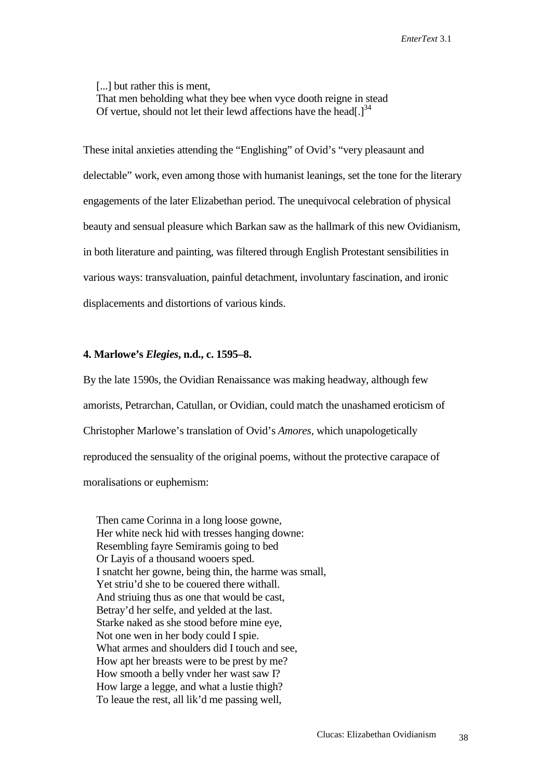[...] but rather this is ment, That men beholding what they bee when vyce dooth reigne in stead Of vertue, should not let their lewd affections have the head[. $l^{34}$ ]

These inital anxieties attending the "Englishing" of Ovid's "very pleasaunt and delectable" work, even among those with humanist leanings, set the tone for the literary engagements of the later Elizabethan period. The unequivocal celebration of physical beauty and sensual pleasure which Barkan saw as the hallmark of this new Ovidianism, in both literature and painting, was filtered through English Protestant sensibilities in various ways: transvaluation, painful detachment, involuntary fascination, and ironic displacements and distortions of various kinds.

#### **4. Marlowe's** *Elegies***, n.d., c. 1595–8.**

By the late 1590s, the Ovidian Renaissance was making headway, although few amorists, Petrarchan, Catullan, or Ovidian, could match the unashamed eroticism of Christopher Marlowe's translation of Ovid's *Amores,* which unapologetically reproduced the sensuality of the original poems, without the protective carapace of moralisations or euphemism:

Then came Corinna in a long loose gowne, Her white neck hid with tresses hanging downe: Resembling fayre Semiramis going to bed Or Layis of a thousand wooers sped. I snatcht her gowne, being thin, the harme was small, Yet striu'd she to be couered there withall. And striuing thus as one that would be cast, Betray'd her selfe, and yelded at the last. Starke naked as she stood before mine eye, Not one wen in her body could I spie. What armes and shoulders did I touch and see, How apt her breasts were to be prest by me? How smooth a belly vnder her wast saw I? How large a legge, and what a lustie thigh? To leaue the rest, all lik'd me passing well,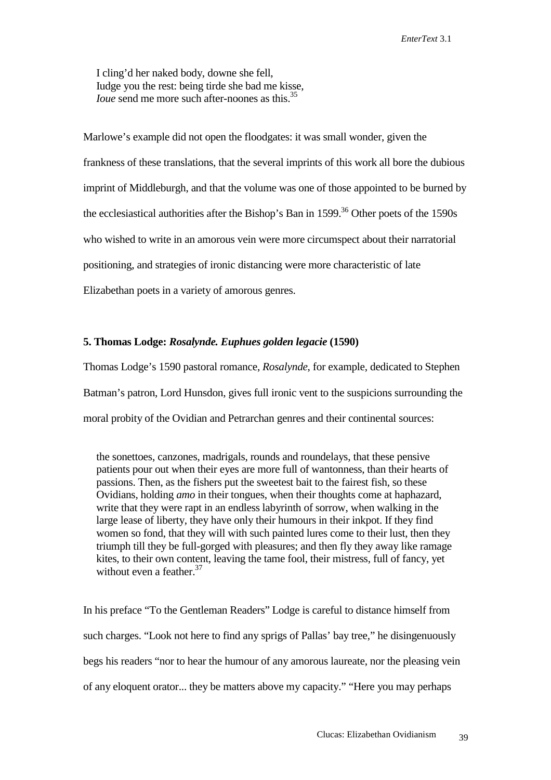I cling'd her naked body, downe she fell, Iudge you the rest: being tirde she bad me kisse, *Ioue* send me more such after-noones as this.<sup>35</sup>

Marlowe's example did not open the floodgates: it was small wonder, given the frankness of these translations, that the several imprints of this work all bore the dubious imprint of Middleburgh, and that the volume was one of those appointed to be burned by the ecclesiastical authorities after the Bishop's Ban in  $1599$ <sup>36</sup> Other poets of the  $1590s$ who wished to write in an amorous vein were more circumspect about their narratorial positioning, and strategies of ironic distancing were more characteristic of late Elizabethan poets in a variety of amorous genres.

#### **5. Thomas Lodge:** *Rosalynde. Euphues golden legacie* **(1590)**

Thomas Lodge's 1590 pastoral romance, *Rosalynde*, for example, dedicated to Stephen Batman's patron, Lord Hunsdon, gives full ironic vent to the suspicions surrounding the moral probity of the Ovidian and Petrarchan genres and their continental sources:

the sonettoes, canzones, madrigals, rounds and roundelays, that these pensive patients pour out when their eyes are more full of wantonness, than their hearts of passions. Then, as the fishers put the sweetest bait to the fairest fish, so these Ovidians, holding *amo* in their tongues, when their thoughts come at haphazard, write that they were rapt in an endless labyrinth of sorrow, when walking in the large lease of liberty, they have only their humours in their inkpot. If they find women so fond, that they will with such painted lures come to their lust, then they triumph till they be full-gorged with pleasures; and then fly they away like ramage kites, to their own content, leaving the tame fool, their mistress, full of fancy, yet without even a feather.<sup>37</sup>

In his preface "To the Gentleman Readers" Lodge is careful to distance himself from such charges. "Look not here to find any sprigs of Pallas' bay tree," he disingenuously begs his readers "nor to hear the humour of any amorous laureate, nor the pleasing vein of any eloquent orator... they be matters above my capacity." "Here you may perhaps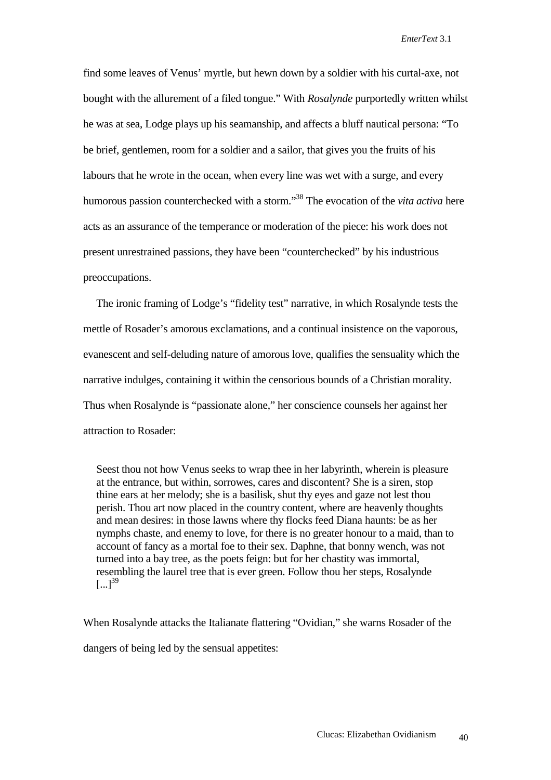find some leaves of Venus' myrtle, but hewn down by a soldier with his curtal-axe, not bought with the allurement of a filed tongue." With *Rosalynde* purportedly written whilst he was at sea, Lodge plays up his seamanship, and affects a bluff nautical persona: "To be brief, gentlemen, room for a soldier and a sailor, that gives you the fruits of his labours that he wrote in the ocean, when every line was wet with a surge, and every humorous passion counterchecked with a storm."38 The evocation of the *vita activa* here acts as an assurance of the temperance or moderation of the piece: his work does not present unrestrained passions, they have been "counterchecked" by his industrious preoccupations.

 The ironic framing of Lodge's "fidelity test" narrative, in which Rosalynde tests the mettle of Rosader's amorous exclamations, and a continual insistence on the vaporous, evanescent and self-deluding nature of amorous love, qualifies the sensuality which the narrative indulges, containing it within the censorious bounds of a Christian morality. Thus when Rosalynde is "passionate alone," her conscience counsels her against her attraction to Rosader:

Seest thou not how Venus seeks to wrap thee in her labyrinth, wherein is pleasure at the entrance, but within, sorrowes, cares and discontent? She is a siren, stop thine ears at her melody; she is a basilisk, shut thy eyes and gaze not lest thou perish. Thou art now placed in the country content, where are heavenly thoughts and mean desires: in those lawns where thy flocks feed Diana haunts: be as her nymphs chaste, and enemy to love, for there is no greater honour to a maid, than to account of fancy as a mortal foe to their sex. Daphne, that bonny wench, was not turned into a bay tree, as the poets feign: but for her chastity was immortal, resembling the laurel tree that is ever green. Follow thou her steps, Rosalynde  $[...]^{39}$ 

When Rosalynde attacks the Italianate flattering "Ovidian," she warns Rosader of the dangers of being led by the sensual appetites: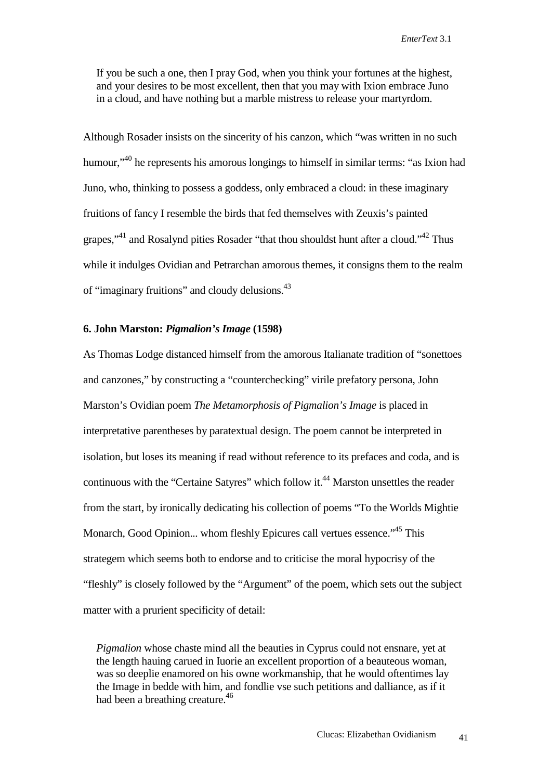If you be such a one, then I pray God, when you think your fortunes at the highest, and your desires to be most excellent, then that you may with Ixion embrace Juno in a cloud, and have nothing but a marble mistress to release your martyrdom.

Although Rosader insists on the sincerity of his canzon, which "was written in no such humour,"40 he represents his amorous longings to himself in similar terms: "as Ixion had Juno, who, thinking to possess a goddess, only embraced a cloud: in these imaginary fruitions of fancy I resemble the birds that fed themselves with Zeuxis's painted grapes,"41 and Rosalynd pities Rosader "that thou shouldst hunt after a cloud."42 Thus while it indulges Ovidian and Petrarchan amorous themes, it consigns them to the realm of "imaginary fruitions" and cloudy delusions.43

### **6. John Marston:** *Pigmalion's Image* **(1598)**

As Thomas Lodge distanced himself from the amorous Italianate tradition of "sonettoes and canzones," by constructing a "counterchecking" virile prefatory persona, John Marston's Ovidian poem *The Metamorphosis of Pigmalion's Image* is placed in interpretative parentheses by paratextual design. The poem cannot be interpreted in isolation, but loses its meaning if read without reference to its prefaces and coda, and is continuous with the "Certaine Satyres" which follow it.<sup>44</sup> Marston unsettles the reader from the start, by ironically dedicating his collection of poems "To the Worlds Mightie Monarch, Good Opinion... whom fleshly Epicures call vertues essence."<sup>45</sup> This strategem which seems both to endorse and to criticise the moral hypocrisy of the "fleshly" is closely followed by the "Argument" of the poem, which sets out the subject matter with a prurient specificity of detail:

*Pigmalion* whose chaste mind all the beauties in Cyprus could not ensnare, yet at the length hauing carued in Iuorie an excellent proportion of a beauteous woman, was so deeplie enamored on his owne workmanship, that he would oftentimes lay the Image in bedde with him, and fondlie vse such petitions and dalliance, as if it had been a breathing creature.<sup>46</sup>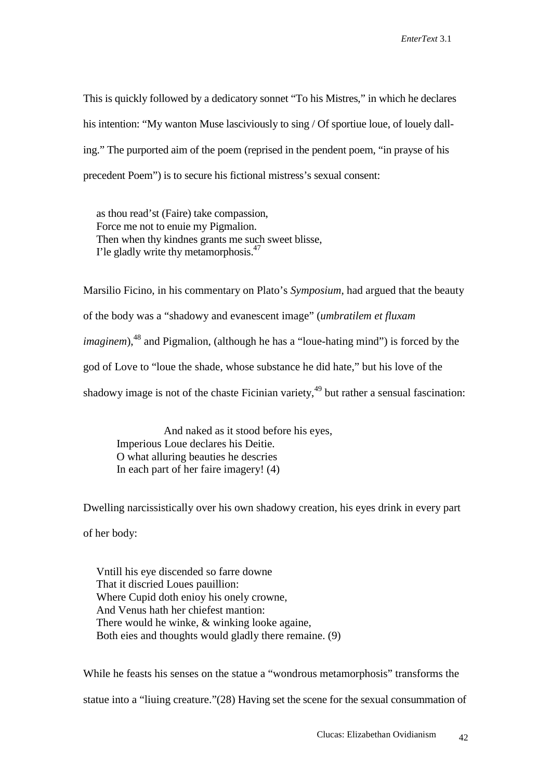This is quickly followed by a dedicatory sonnet "To his Mistres," in which he declares his intention: "My wanton Muse lasciviously to sing / Of sportiue loue, of louely dalling." The purported aim of the poem (reprised in the pendent poem, "in prayse of his precedent Poem") is to secure his fictional mistress's sexual consent:

as thou read'st (Faire) take compassion, Force me not to enuie my Pigmalion. Then when thy kindnes grants me such sweet blisse, I'le gladly write thy metamorphosis.<sup>47</sup>

Marsilio Ficino, in his commentary on Plato's *Symposium*, had argued that the beauty of the body was a "shadowy and evanescent image" (*umbratilem et fluxam imaginem*),<sup>48</sup> and Pigmalion, (although he has a "loue-hating mind") is forced by the god of Love to "loue the shade, whose substance he did hate," but his love of the shadowy image is not of the chaste Ficinian variety, $49$  but rather a sensual fascination:

 And naked as it stood before his eyes, Imperious Loue declares his Deitie. O what alluring beauties he descries In each part of her faire imagery! (4)

Dwelling narcissistically over his own shadowy creation, his eyes drink in every part of her body:

Vntill his eye discended so farre downe That it discried Loues pauillion: Where Cupid doth enioy his onely crowne, And Venus hath her chiefest mantion: There would he winke, & winking looke againe, Both eies and thoughts would gladly there remaine. (9)

While he feasts his senses on the statue a "wondrous metamorphosis" transforms the statue into a "liuing creature."(28) Having set the scene for the sexual consummation of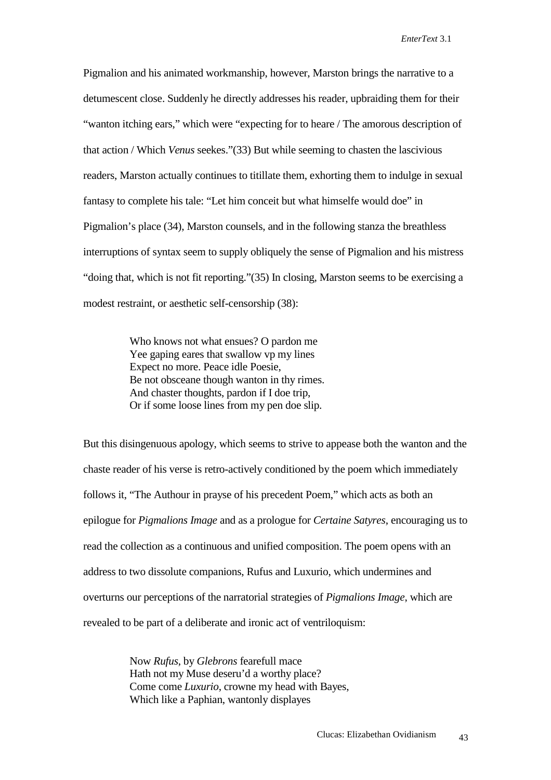Pigmalion and his animated workmanship, however, Marston brings the narrative to a detumescent close. Suddenly he directly addresses his reader, upbraiding them for their "wanton itching ears," which were "expecting for to heare / The amorous description of that action / Which *Venus* seekes."(33) But while seeming to chasten the lascivious readers, Marston actually continues to titillate them, exhorting them to indulge in sexual fantasy to complete his tale: "Let him conceit but what himselfe would doe" in Pigmalion's place (34), Marston counsels, and in the following stanza the breathless interruptions of syntax seem to supply obliquely the sense of Pigmalion and his mistress "doing that, which is not fit reporting."(35) In closing, Marston seems to be exercising a modest restraint, or aesthetic self-censorship (38):

> Who knows not what ensues? O pardon me Yee gaping eares that swallow vp my lines Expect no more. Peace idle Poesie, Be not obsceane though wanton in thy rimes. And chaster thoughts, pardon if I doe trip, Or if some loose lines from my pen doe slip.

But this disingenuous apology, which seems to strive to appease both the wanton and the chaste reader of his verse is retro-actively conditioned by the poem which immediately follows it, "The Authour in prayse of his precedent Poem," which acts as both an epilogue for *Pigmalions Image* and as a prologue for *Certaine Satyres*, encouraging us to read the collection as a continuous and unified composition. The poem opens with an address to two dissolute companions, Rufus and Luxurio, which undermines and overturns our perceptions of the narratorial strategies of *Pigmalions Image*, which are revealed to be part of a deliberate and ironic act of ventriloquism:

> Now *Rufus*, by *Glebrons* fearefull mace Hath not my Muse deseru'd a worthy place? Come come *Luxurio*, crowne my head with Bayes, Which like a Paphian, wantonly displayes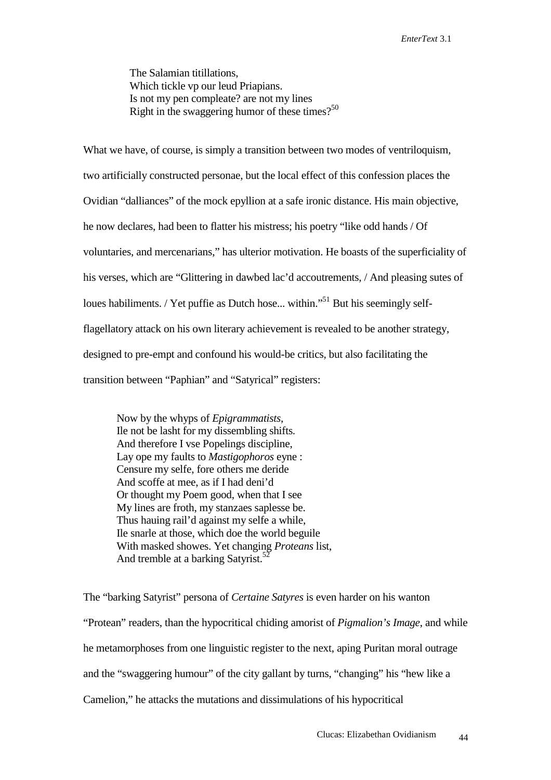The Salamian titillations, Which tickle vp our leud Priapians. Is not my pen compleate? are not my lines Right in the swaggering humor of these times?<sup>50</sup>

What we have, of course, is simply a transition between two modes of ventriloquism, two artificially constructed personae, but the local effect of this confession places the Ovidian "dalliances" of the mock epyllion at a safe ironic distance. His main objective, he now declares, had been to flatter his mistress; his poetry "like odd hands / Of voluntaries, and mercenarians," has ulterior motivation. He boasts of the superficiality of his verses, which are "Glittering in dawbed lac'd accoutrements, / And pleasing sutes of loues habiliments. / Yet puffie as Dutch hose... within."<sup>51</sup> But his seemingly selfflagellatory attack on his own literary achievement is revealed to be another strategy, designed to pre-empt and confound his would-be critics, but also facilitating the transition between "Paphian" and "Satyrical" registers:

Now by the whyps of *Epigrammatists*, Ile not be lasht for my dissembling shifts. And therefore I vse Popelings discipline, Lay ope my faults to *Mastigophoros* eyne : Censure my selfe, fore others me deride And scoffe at mee, as if I had deni'd Or thought my Poem good, when that I see My lines are froth, my stanzaes saplesse be. Thus hauing rail'd against my selfe a while, Ile snarle at those, which doe the world beguile With masked showes. Yet changing *Proteans* list, And tremble at a barking Satyrist.<sup>52</sup>

The "barking Satyrist" persona of *Certaine Satyres* is even harder on his wanton "Protean" readers, than the hypocritical chiding amorist of *Pigmalion's Image*, and while he metamorphoses from one linguistic register to the next, aping Puritan moral outrage and the "swaggering humour" of the city gallant by turns, "changing" his "hew like a Camelion," he attacks the mutations and dissimulations of his hypocritical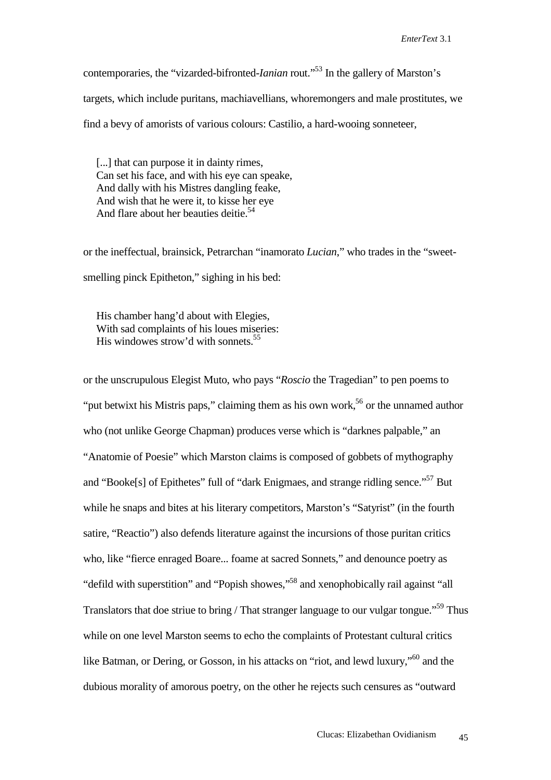contemporaries, the "vizarded-bifronted-*Ianian* rout."53 In the gallery of Marston's targets, which include puritans, machiavellians, whoremongers and male prostitutes, we find a bevy of amorists of various colours: Castilio, a hard-wooing sonneteer,

[...] that can purpose it in dainty rimes, Can set his face, and with his eye can speake, And dally with his Mistres dangling feake, And wish that he were it, to kisse her eye And flare about her beauties deitie.<sup>54</sup>

or the ineffectual, brainsick, Petrarchan "inamorato *Lucian*," who trades in the "sweetsmelling pinck Epitheton," sighing in his bed:

His chamber hang'd about with Elegies, With sad complaints of his loues miseries: His windowes strow'd with sonnets.  $55$ 

or the unscrupulous Elegist Muto, who pays "*Roscio* the Tragedian" to pen poems to "put betwixt his Mistris paps," claiming them as his own work,<sup>56</sup> or the unnamed author who (not unlike George Chapman) produces verse which is "darknes palpable," an "Anatomie of Poesie" which Marston claims is composed of gobbets of mythography and "Booke[s] of Epithetes" full of "dark Enigmaes, and strange ridling sence."<sup>57</sup> But while he snaps and bites at his literary competitors, Marston's "Satyrist" (in the fourth satire, "Reactio") also defends literature against the incursions of those puritan critics who, like "fierce enraged Boare... foame at sacred Sonnets," and denounce poetry as "defild with superstition" and "Popish showes,"58 and xenophobically rail against "all Translators that doe striue to bring / That stranger language to our vulgar tongue."<sup>59</sup> Thus while on one level Marston seems to echo the complaints of Protestant cultural critics like Batman, or Dering, or Gosson, in his attacks on "riot, and lewd luxury,"<sup>60</sup> and the dubious morality of amorous poetry, on the other he rejects such censures as "outward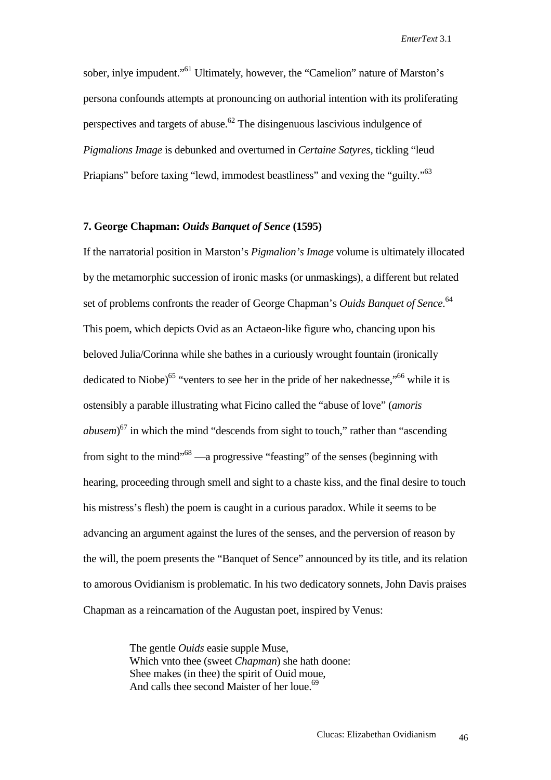sober, inlye impudent."<sup>61</sup> Ultimately, however, the "Camelion" nature of Marston's persona confounds attempts at pronouncing on authorial intention with its proliferating perspectives and targets of abuse.<sup>62</sup> The disingenuous lascivious indulgence of *Pigmalions Image* is debunked and overturned in *Certaine Satyres*, tickling "leud Priapians" before taxing "lewd, immodest beastliness" and vexing the "guilty."<sup>63</sup>

#### **7. George Chapman:** *Ouids Banquet of Sence* **(1595)**

If the narratorial position in Marston's *Pigmalion's Image* volume is ultimately illocated by the metamorphic succession of ironic masks (or unmaskings), a different but related set of problems confronts the reader of George Chapman's *Ouids Banquet of Sence*.<sup>64</sup> This poem, which depicts Ovid as an Actaeon-like figure who, chancing upon his beloved Julia/Corinna while she bathes in a curiously wrought fountain (ironically dedicated to Niobe)<sup>65</sup> "venters to see her in the pride of her nakednesse,"<sup>66</sup> while it is ostensibly a parable illustrating what Ficino called the "abuse of love" (*amoris abusem*) 67 in which the mind "descends from sight to touch," rather than "ascending from sight to the mind"68 —a progressive "feasting" of the senses (beginning with hearing, proceeding through smell and sight to a chaste kiss, and the final desire to touch his mistress's flesh) the poem is caught in a curious paradox. While it seems to be advancing an argument against the lures of the senses, and the perversion of reason by the will, the poem presents the "Banquet of Sence" announced by its title, and its relation to amorous Ovidianism is problematic. In his two dedicatory sonnets, John Davis praises Chapman as a reincarnation of the Augustan poet, inspired by Venus:

> The gentle *Ouids* easie supple Muse, Which vnto thee (sweet *Chapman*) she hath doone: Shee makes (in thee) the spirit of Ouid moue, And calls thee second Maister of her loue.<sup>69</sup>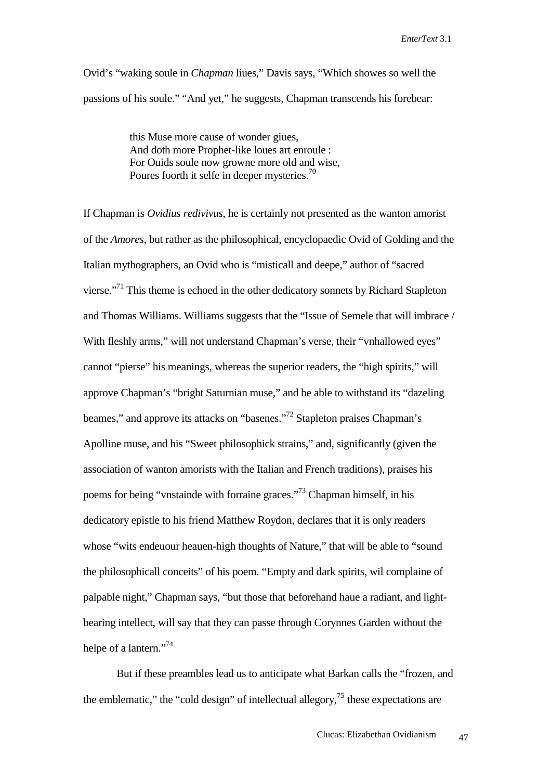Ovid's "waking soule in *Chapman* liues," Davis says, "Which showes so well the passions of his soule." "And yet," he suggests, Chapman transcends his forebear:

> this Muse more cause of wonder giues, And doth more Prophet-like loues art enroule : For Ouids soule now growne more old and wise, Poures foorth it selfe in deeper mysteries.<sup>70</sup>

If Chapman is *Ovidius redivivus*, he is certainly not presented as the wanton amorist of the *Amores*, but rather as the philosophical, encyclopaedic Ovid of Golding and the Italian mythographers, an Ovid who is "misticall and deepe," author of "sacred vierse."71 This theme is echoed in the other dedicatory sonnets by Richard Stapleton and Thomas Williams. Williams suggests that the "Issue of Semele that will imbrace / With fleshly arms," will not understand Chapman's verse, their "vnhallowed eyes" cannot "pierse" his meanings, whereas the superior readers, the "high spirits," will approve Chapman's "bright Saturnian muse," and be able to withstand its "dazeling beames," and approve its attacks on "basenes."72 Stapleton praises Chapman's Apolline muse, and his "Sweet philosophick strains," and, significantly (given the association of wanton amorists with the Italian and French traditions), praises his poems for being "vnstainde with forraine graces."73 Chapman himself, in his dedicatory epistle to his friend Matthew Roydon, declares that it is only readers whose "wits endeuour heauen-high thoughts of Nature," that will be able to "sound the philosophicall conceits" of his poem. "Empty and dark spirits, wil complaine of palpable night," Chapman says, "but those that beforehand haue a radiant, and lightbearing intellect, will say that they can passe through Corynnes Garden without the helpe of a lantern."<sup>74</sup>

 But if these preambles lead us to anticipate what Barkan calls the "frozen, and the emblematic," the "cold design" of intellectual allegory, $^{75}$  these expectations are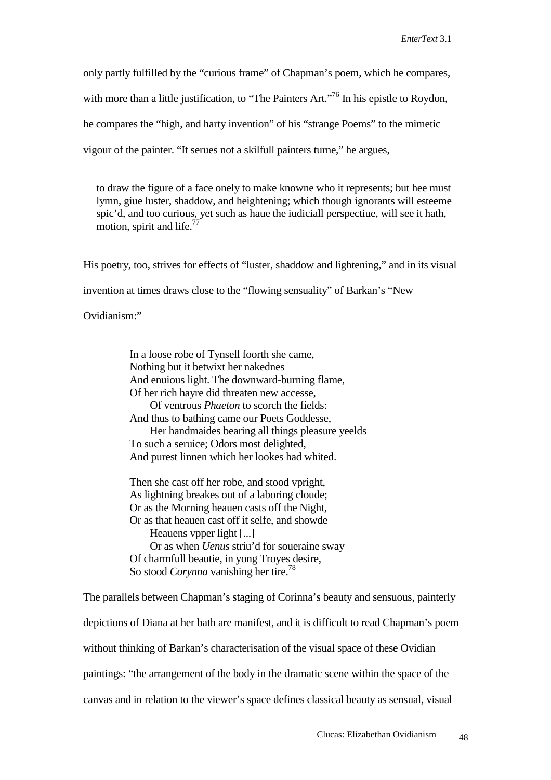only partly fulfilled by the "curious frame" of Chapman's poem, which he compares, with more than a little justification, to "The Painters Art."<sup>76</sup> In his epistle to Roydon, he compares the "high, and harty invention" of his "strange Poems" to the mimetic vigour of the painter. "It serues not a skilfull painters turne," he argues,

to draw the figure of a face onely to make knowne who it represents; but hee must lymn, giue luster, shaddow, and heightening; which though ignorants will esteeme spic'd, and too curious, yet such as haue the iudiciall perspectiue, will see it hath, motion, spirit and life.<sup>7</sup>

His poetry, too, strives for effects of "luster, shaddow and lightening," and in its visual invention at times draws close to the "flowing sensuality" of Barkan's "New Ovidianism:"

> In a loose robe of Tynsell foorth she came, Nothing but it betwixt her nakednes And enuious light. The downward-burning flame, Of her rich hayre did threaten new accesse, Of ventrous *Phaeton* to scorch the fields: And thus to bathing came our Poets Goddesse, Her handmaides bearing all things pleasure yeelds To such a seruice; Odors most delighted, And purest linnen which her lookes had whited.

 Then she cast off her robe, and stood vpright, As lightning breakes out of a laboring cloude; Or as the Morning heauen casts off the Night, Or as that heauen cast off it selfe, and showde Heauens vpper light [...] Or as when *Uenus* striu'd for soueraine sway Of charmfull beautie, in yong Troyes desire, So stood *Corynna* vanishing her tire.<sup>78</sup>

The parallels between Chapman's staging of Corinna's beauty and sensuous, painterly depictions of Diana at her bath are manifest, and it is difficult to read Chapman's poem without thinking of Barkan's characterisation of the visual space of these Ovidian paintings: "the arrangement of the body in the dramatic scene within the space of the canvas and in relation to the viewer's space defines classical beauty as sensual, visual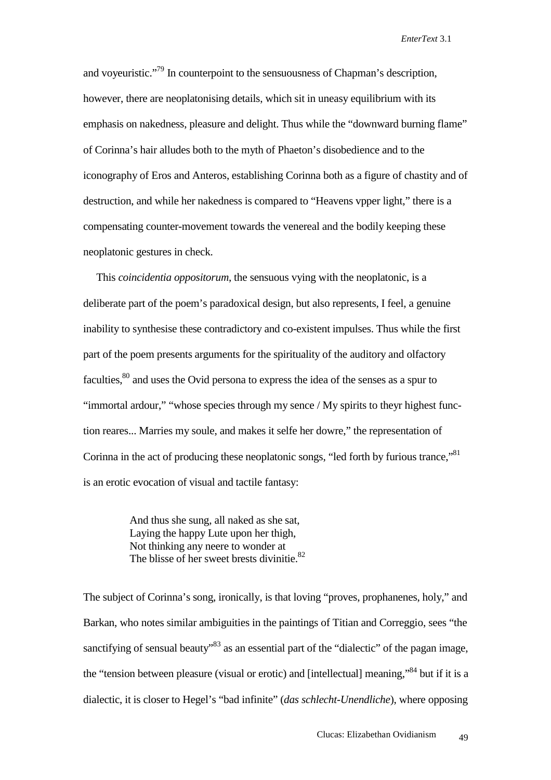and voyeuristic."<sup>79</sup> In counterpoint to the sensuousness of Chapman's description, however, there are neoplatonising details, which sit in uneasy equilibrium with its emphasis on nakedness, pleasure and delight. Thus while the "downward burning flame" of Corinna's hair alludes both to the myth of Phaeton's disobedience and to the iconography of Eros and Anteros, establishing Corinna both as a figure of chastity and of destruction, and while her nakedness is compared to "Heavens vpper light," there is a compensating counter-movement towards the venereal and the bodily keeping these neoplatonic gestures in check.

 This *coincidentia oppositorum*, the sensuous vying with the neoplatonic, is a deliberate part of the poem's paradoxical design, but also represents, I feel, a genuine inability to synthesise these contradictory and co-existent impulses. Thus while the first part of the poem presents arguments for the spirituality of the auditory and olfactory faculties,<sup>80</sup> and uses the Ovid persona to express the idea of the senses as a spur to "immortal ardour," "whose species through my sence / My spirits to theyr highest function reares... Marries my soule, and makes it selfe her dowre," the representation of Corinna in the act of producing these neoplatonic songs, "led forth by furious trance,"<sup>81</sup> is an erotic evocation of visual and tactile fantasy:

> And thus she sung, all naked as she sat, Laying the happy Lute upon her thigh, Not thinking any neere to wonder at The blisse of her sweet brests divinitie. $82$

The subject of Corinna's song, ironically, is that loving "proves, prophanenes, holy," and Barkan, who notes similar ambiguities in the paintings of Titian and Correggio, sees "the sanctifying of sensual beauty"<sup>83</sup> as an essential part of the "dialectic" of the pagan image, the "tension between pleasure (visual or erotic) and [intellectual] meaning,"84 but if it is a dialectic, it is closer to Hegel's "bad infinite" (*das schlecht-Unendliche*), where opposing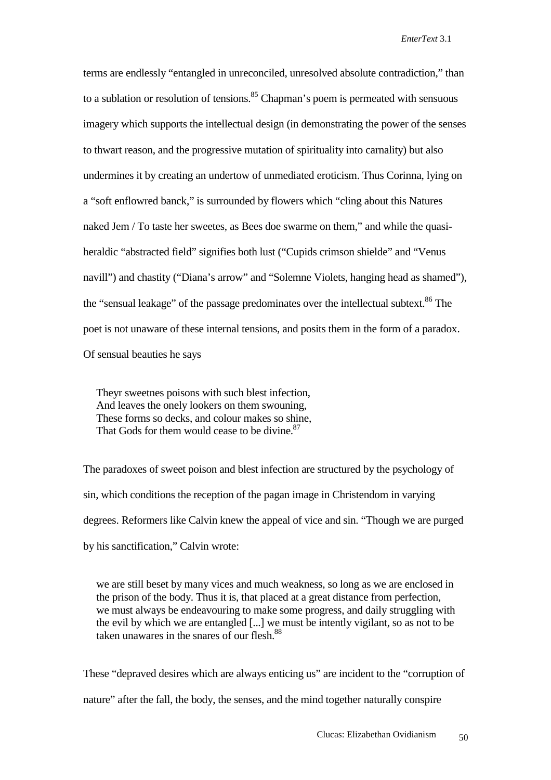terms are endlessly "entangled in unreconciled, unresolved absolute contradiction," than to a sublation or resolution of tensions.<sup>85</sup> Chapman's poem is permeated with sensuous imagery which supports the intellectual design (in demonstrating the power of the senses to thwart reason, and the progressive mutation of spirituality into carnality) but also undermines it by creating an undertow of unmediated eroticism. Thus Corinna, lying on a "soft enflowred banck," is surrounded by flowers which "cling about this Natures naked Jem / To taste her sweetes, as Bees doe swarme on them," and while the quasiheraldic "abstracted field" signifies both lust ("Cupids crimson shielde" and "Venus navill") and chastity ("Diana's arrow" and "Solemne Violets, hanging head as shamed"), the "sensual leakage" of the passage predominates over the intellectual subtext.<sup>86</sup> The poet is not unaware of these internal tensions, and posits them in the form of a paradox. Of sensual beauties he says

Theyr sweetnes poisons with such blest infection, And leaves the onely lookers on them swouning, These forms so decks, and colour makes so shine, That Gods for them would cease to be divine.<sup>87</sup>

The paradoxes of sweet poison and blest infection are structured by the psychology of sin, which conditions the reception of the pagan image in Christendom in varying degrees. Reformers like Calvin knew the appeal of vice and sin. "Though we are purged by his sanctification," Calvin wrote:

we are still beset by many vices and much weakness, so long as we are enclosed in the prison of the body. Thus it is, that placed at a great distance from perfection, we must always be endeavouring to make some progress, and daily struggling with the evil by which we are entangled [...] we must be intently vigilant, so as not to be taken unawares in the snares of our flesh.<sup>88</sup>

These "depraved desires which are always enticing us" are incident to the "corruption of nature" after the fall, the body, the senses, and the mind together naturally conspire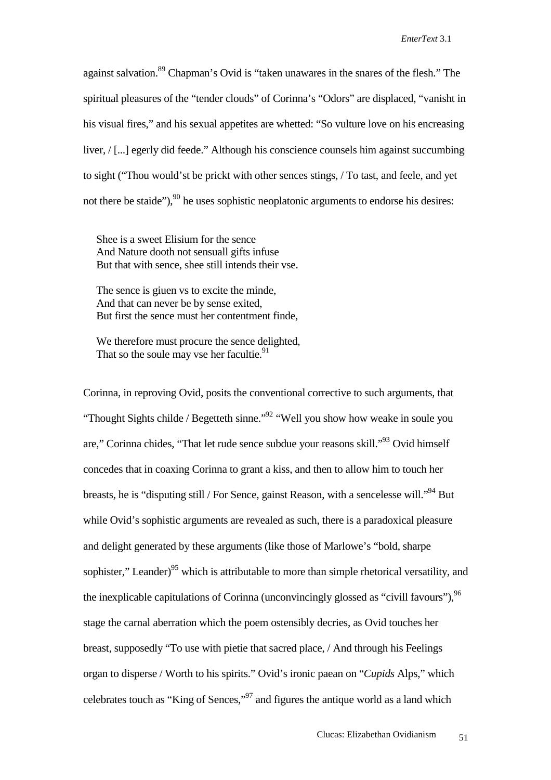against salvation.<sup>89</sup> Chapman's Ovid is "taken unawares in the snares of the flesh." The spiritual pleasures of the "tender clouds" of Corinna's "Odors" are displaced, "vanisht in his visual fires," and his sexual appetites are whetted: "So vulture love on his encreasing liver, / [...] egerly did feede." Although his conscience counsels him against succumbing to sight ("Thou would'st be prickt with other sences stings, / To tast, and feele, and yet not there be staide"),  $90$  he uses sophistic neoplatonic arguments to endorse his desires:

Shee is a sweet Elisium for the sence And Nature dooth not sensuall gifts infuse But that with sence, shee still intends their vse.

The sence is giuen vs to excite the minde. And that can never be by sense exited, But first the sence must her contentment finde,

We therefore must procure the sence delighted, That so the soule may vse her facultie.<sup>91</sup>

Corinna, in reproving Ovid, posits the conventional corrective to such arguments, that "Thought Sights childe / Begetteth sinne."<sup>92</sup> "Well you show how weake in soule you are," Corinna chides, "That let rude sence subdue your reasons skill."93 Ovid himself concedes that in coaxing Corinna to grant a kiss, and then to allow him to touch her breasts, he is "disputing still / For Sence, gainst Reason, with a sencelesse will."94 But while Ovid's sophistic arguments are revealed as such, there is a paradoxical pleasure and delight generated by these arguments (like those of Marlowe's "bold, sharpe sophister," Leander)<sup>95</sup> which is attributable to more than simple rhetorical versatility, and the inexplicable capitulations of Corinna (unconvincingly glossed as "civill favours"),  $96$ stage the carnal aberration which the poem ostensibly decries, as Ovid touches her breast, supposedly "To use with pietie that sacred place, / And through his Feelings organ to disperse / Worth to his spirits." Ovid's ironic paean on "*Cupids* Alps," which celebrates touch as "King of Sences,"<sup>97</sup> and figures the antique world as a land which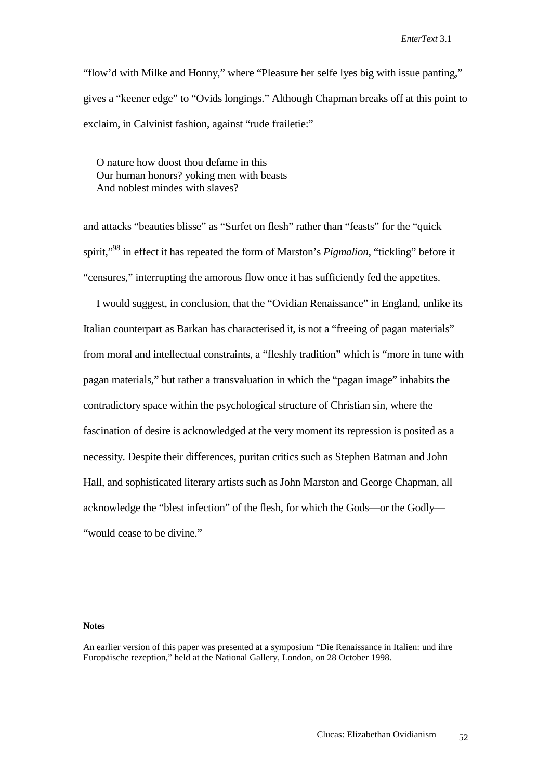"flow'd with Milke and Honny," where "Pleasure her selfe lyes big with issue panting," gives a "keener edge" to "Ovids longings." Although Chapman breaks off at this point to exclaim, in Calvinist fashion, against "rude frailetie:"

O nature how doost thou defame in this Our human honors? yoking men with beasts And noblest mindes with slaves?

and attacks "beauties blisse" as "Surfet on flesh" rather than "feasts" for the "quick spirit,"98 in effect it has repeated the form of Marston's *Pigmalion*, "tickling" before it "censures," interrupting the amorous flow once it has sufficiently fed the appetites.

 I would suggest, in conclusion, that the "Ovidian Renaissance" in England, unlike its Italian counterpart as Barkan has characterised it, is not a "freeing of pagan materials" from moral and intellectual constraints, a "fleshly tradition" which is "more in tune with pagan materials," but rather a transvaluation in which the "pagan image" inhabits the contradictory space within the psychological structure of Christian sin, where the fascination of desire is acknowledged at the very moment its repression is posited as a necessity. Despite their differences, puritan critics such as Stephen Batman and John Hall, and sophisticated literary artists such as John Marston and George Chapman, all acknowledge the "blest infection" of the flesh, for which the Gods—or the Godly— "would cease to be divine."

#### **Notes**

An earlier version of this paper was presented at a symposium "Die Renaissance in Italien: und ihre Europäische rezeption," held at the National Gallery, London, on 28 October 1998.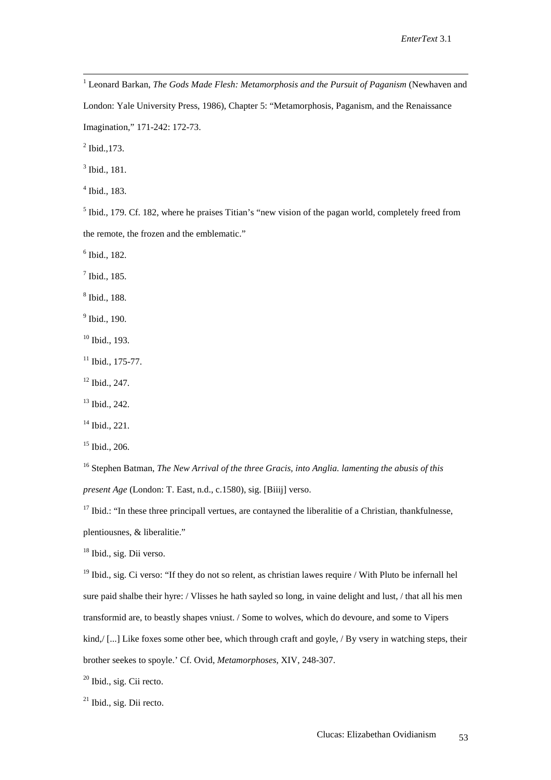$\frac{1}{1}$ <sup>1</sup> Leonard Barkan, *The Gods Made Flesh: Metamorphosis and the Pursuit of Paganism* (Newhaven and London: Yale University Press, 1986), Chapter 5: "Metamorphosis, Paganism, and the Renaissance

Imagination," 171-242: 172-73.

 $^{2}$  Ibid., 173.

3 Ibid., 181.

4 Ibid., 183.

 $<sup>5</sup>$  Ibid., 179. Cf. 182, where he praises Titian's "new vision of the pagan world, completely freed from</sup> the remote, the frozen and the emblematic."

6 Ibid., 182.

 $<sup>7</sup>$  Ibid., 185.</sup>

8 Ibid., 188.

<sup>9</sup> Ibid., 190.

 $10$  Ibid., 193.

 $11$  Ibid., 175-77.

12 Ibid., 247.

 $13$  Ibid., 242.

14 Ibid., 221.

 $15$  Ibid., 206.

16 Stephen Batman, *The New Arrival of the three Gracis, into Anglia. lamenting the abusis of this present Age* (London: T. East, n.d., c.1580), sig. [Biiij] verso.

 $17$  Ibid.: "In these three principall vertues, are contayned the liberalitie of a Christian, thankfulnesse, plentiousnes, & liberalitie."

<sup>18</sup> Ibid., sig. Dii verso.

 $19$  Ibid., sig. Ci verso: "If they do not so relent, as christian lawes require / With Pluto be infernall hel sure paid shalbe their hyre: / Vlisses he hath sayled so long, in vaine delight and lust, / that all his men transformid are, to beastly shapes vniust. / Some to wolves, which do devoure, and some to Vipers kind,/ [...] Like foxes some other bee, which through craft and goyle, / By vsery in watching steps, their brother seekes to spoyle.' Cf. Ovid, *Metamorphoses*, XIV, 248-307.

<sup>20</sup> Ibid., sig. Cii recto.

 $21$  Ibid., sig. Dii recto.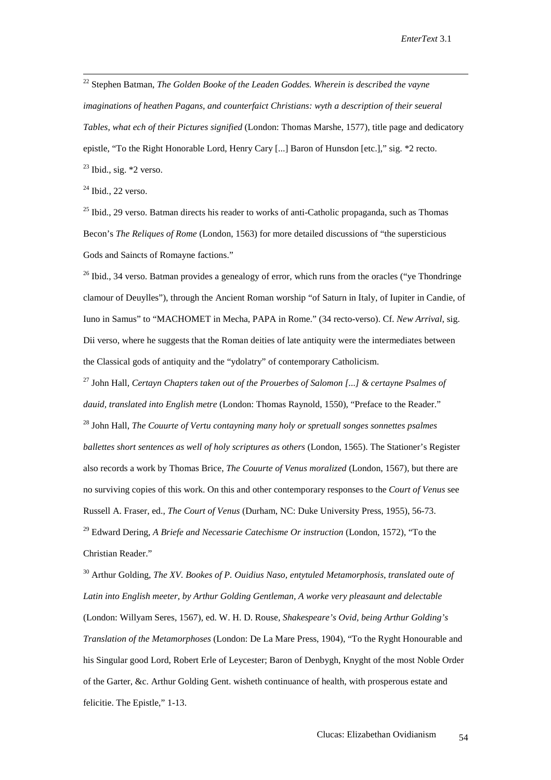22 Stephen Batman, *The Golden Booke of the Leaden Goddes. Wherein is described the vayne imaginations of heathen Pagans, and counterfaict Christians: wyth a description of their seueral Tables, what ech of their Pictures signified* (London: Thomas Marshe, 1577), title page and dedicatory epistle, "To the Right Honorable Lord, Henry Cary [...] Baron of Hunsdon [etc.]," sig. \*2 recto.  $23$  Ibid., sig.  $*2$  verso.

 $24$  Ibid., 22 verso.

 $25$  Ibid., 29 verso. Batman directs his reader to works of anti-Catholic propaganda, such as Thomas Becon's *The Reliques of Rome* (London, 1563) for more detailed discussions of "the supersticious Gods and Saincts of Romayne factions."

 $^{26}$  Ibid., 34 verso. Batman provides a genealogy of error, which runs from the oracles ("ye Thondringe") clamour of Deuylles"), through the Ancient Roman worship "of Saturn in Italy, of Iupiter in Candie, of Iuno in Samus" to "MACHOMET in Mecha, PAPA in Rome." (34 recto-verso). Cf. *New Arrival*, sig. Dii verso, where he suggests that the Roman deities of late antiquity were the intermediates between the Classical gods of antiquity and the "ydolatry" of contemporary Catholicism.

27 John Hall*, Certayn Chapters taken out of the Prouerbes of Salomon [...] & certayne Psalmes of dauid, translated into English metre* (London: Thomas Raynold, 1550), "Preface to the Reader." 28 John Hall, *The Couurte of Vertu contayning many holy or spretuall songes sonnettes psalmes ballettes short sentences as well of holy scriptures as others* (London, 1565). The Stationer's Register also records a work by Thomas Brice, *The Couurte of Venus moralized* (London, 1567), but there are no surviving copies of this work. On this and other contemporary responses to the *Court of Venus* see Russell A. Fraser, ed., *The Court of Venus* (Durham, NC: Duke University Press, 1955), 56-73. 29 Edward Dering, *A Briefe and Necessarie Catechisme Or instruction* (London, 1572), "To the Christian Reader."

30 Arthur Golding, *The XV. Bookes of P. Ouidius Naso, entytuled Metamorphosis*, *translated oute of Latin into English meeter, by Arthur Golding Gentleman, A worke very pleasaunt and delectable* (London: Willyam Seres, 1567), ed. W. H. D. Rouse, *Shakespeare's Ovid, being Arthur Golding's Translation of the Metamorphoses* (London: De La Mare Press, 1904), "To the Ryght Honourable and his Singular good Lord, Robert Erle of Leycester; Baron of Denbygh, Knyght of the most Noble Order of the Garter, &c. Arthur Golding Gent. wisheth continuance of health, with prosperous estate and felicitie. The Epistle," 1-13.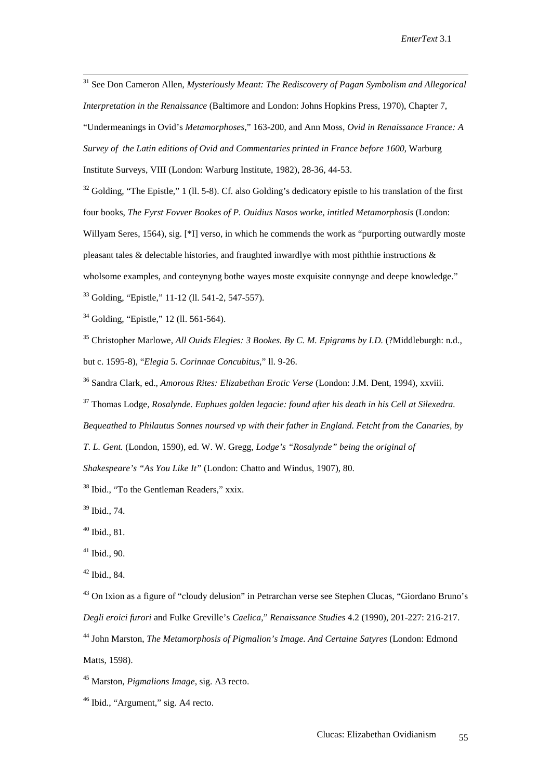31 See Don Cameron Allen, *Mysteriously Meant: The Rediscovery of Pagan Symbolism and Allegorical Interpretation in the Renaissance* (Baltimore and London: Johns Hopkins Press, 1970), Chapter 7, "Undermeanings in Ovid's *Metamorphoses*," 163-200, and Ann Moss, *Ovid in Renaissance France: A Survey of the Latin editions of Ovid and Commentaries printed in France before 1600*, Warburg Institute Surveys, VIII (London: Warburg Institute, 1982), 28-36, 44-53.

 $32$  Golding, "The Epistle," 1 (11, 5-8). Cf. also Golding's dedicatory epistle to his translation of the first four books, *The Fyrst Fovver Bookes of P. Ouidius Nasos worke, intitled Metamorphosis* (London: Willyam Seres, 1564), sig. [\*I] verso, in which he commends the work as "purporting outwardly moste pleasant tales  $\&$  delectable histories, and fraughted inwardlye with most piththie instructions  $\&$ wholsome examples, and conteynyng bothe wayes moste exquisite connynge and deepe knowledge." 33 Golding, "Epistle," 11-12 (ll. 541-2, 547-557).

<sup>34</sup> Golding, "Epistle," 12 (ll. 561-564).

35 Christopher Marlowe, *All Ouids Elegies: 3 Bookes. By C. M. Epigrams by I.D.* (?Middleburgh: n.d., but c. 1595-8), "*Elegia* 5. *Corinnae Concubitus*," ll. 9-26.

36 Sandra Clark, ed., *Amorous Rites: Elizabethan Erotic Verse* (London: J.M. Dent, 1994), xxviii.

37 Thomas Lodge, *Rosalynde. Euphues golden legacie: found after his death in his Cell at Silexedra.* 

*Bequeathed to Philautus Sonnes noursed vp with their father in England. Fetcht from the Canaries, by* 

*T. L. Gent.* (London, 1590), ed. W. W. Gregg, *Lodge's "Rosalynde" being the original of* 

*Shakespeare's "As You Like It"* (London: Chatto and Windus, 1907), 80.

38 Ibid., "To the Gentleman Readers," xxix.

39 Ibid., 74.

40 Ibid., 81.

 $41$  Ibid., 90.

42 Ibid., 84.

<sup>43</sup> On Ixion as a figure of "cloudy delusion" in Petrarchan verse see Stephen Clucas, "Giordano Bruno's *Degli eroici furori* and Fulke Greville's *Caelica*," *Renaissance Studies* 4.2 (1990), 201-227: 216-217.

44 John Marston, *The Metamorphosis of Pigmalion's Image. And Certaine Satyres* (London: Edmond Matts, 1598).

45 Marston, *Pigmalions Image*, sig. A3 recto.

46 Ibid., "Argument," sig. A4 recto.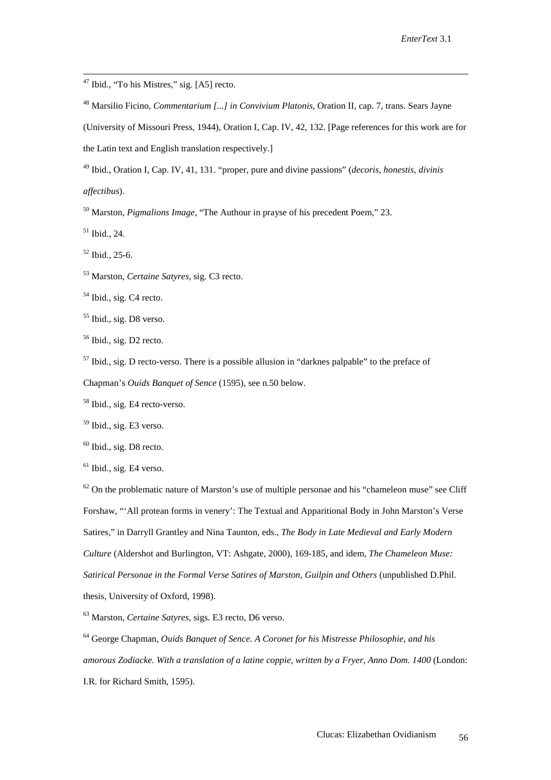47 Ibid., "To his Mistres," sig. [A5] recto.

48 Marsilio Ficino, *Commentarium [...] in Convivium Platonis*, Oration II, cap. 7, trans. Sears Jayne

(University of Missouri Press, 1944), Oration I, Cap. IV, 42, 132. [Page references for this work are for the Latin text and English translation respectively.]

49 Ibid., Oration I, Cap. IV, 41, 131. "proper, pure and divine passions" (*decoris, honestis, divinis* 

*affectibus*).

50 Marston, *Pigmalions Image*, "The Authour in prayse of his precedent Poem," 23.

51 Ibid., 24.

 $52$  Ibid., 25-6.

53 Marston, *Certaine Satyres*, sig. C3 recto.

<sup>54</sup> Ibid., sig. C4 recto.

55 Ibid., sig. D8 verso.

<sup>56</sup> Ibid., sig. D<sub>2</sub> recto.

 $57$  Ibid., sig. D recto-verso. There is a possible allusion in "darknes palpable" to the preface of

Chapman's *Ouids Banquet of Sence* (1595), see n.50 below.

58 Ibid., sig. E4 recto-verso.

 $<sup>59</sup>$  Ibid., sig. E3 verso.</sup>

 $60$  Ibid., sig. D8 recto.

 $<sup>61</sup>$  Ibid., sig. E4 verso.</sup>

 $62$  On the problematic nature of Marston's use of multiple personae and his "chameleon muse" see Cliff Forshaw, "'All protean forms in venery': The Textual and Apparitional Body in John Marston's Verse Satires," in Darryll Grantley and Nina Taunton, eds., *The Body in Late Medieval and Early Modern Culture* (Aldershot and Burlington, VT: Ashgate, 2000), 169-185, and idem, *The Chameleon Muse: Satirical Personae in the Formal Verse Satires of Marston, Guilpin and Others* (unpublished D.Phil. thesis, University of Oxford, 1998).

63 Marston, *Certaine Satyres*, sigs. E3 recto, D6 verso.

64 George Chapman, *Ouids Banquet of Sence. A Coronet for his Mistresse Philosophie, and his amorous Zodiacke. With a translation of a latine coppie, written by a Fryer, Anno Dom. 1400* (London: I.R. for Richard Smith, 1595).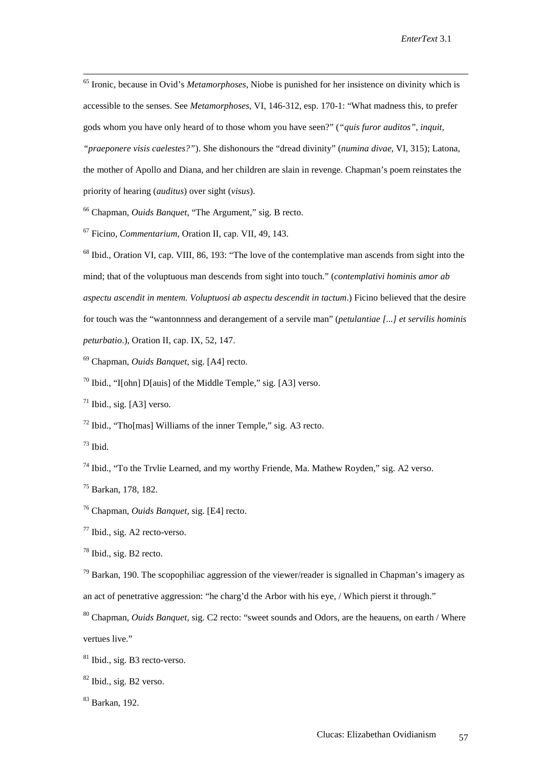65 Ironic, because in Ovid's *Metamorphoses*, Niobe is punished for her insistence on divinity which is accessible to the senses. See *Metamorphoses*, VI, 146-312, esp. 170-1: "What madness this, to prefer gods whom you have only heard of to those whom you have seen?" (*"quis furor auditos", inquit, "praeponere visis caelestes?"*). She dishonours the "dread divinity" (*numina divae*, VI, 315); Latona, the mother of Apollo and Diana, and her children are slain in revenge. Chapman's poem reinstates the priority of hearing (*auditus*) over sight (*visus*).

66 Chapman, *Ouids Banquet*, "The Argument," sig. B recto.

67 Ficino, *Commentarium*, Oration II, cap. VII, 49, 143.

<sup>68</sup> Ibid., Oration VI, cap. VIII, 86, 193: "The love of the contemplative man ascends from sight into the mind; that of the voluptuous man descends from sight into touch." (*contemplativi hominis amor ab aspectu ascendit in mentem. Voluptuosi ab aspectu descendit in tactum*.) Ficino believed that the desire for touch was the "wantonnness and derangement of a servile man" (*petulantiae [...] et servilis hominis peturbatio*.), Oration II, cap. IX, 52, 147.

69 Chapman, *Ouids Banquet*, sig. [A4] recto.

 $70$  Ibid., "I[ohn] D[auis] of the Middle Temple," sig. [A3] verso.

 $71$  Ibid., sig. [A3] verso.

 $72$  Ibid., "Tho[mas] Williams of the inner Temple," sig. A3 recto.

 $73$  Ibid.

 $^{74}$  Ibid., "To the Trvlie Learned, and my worthy Friende, Ma. Mathew Royden," sig. A2 verso.

75 Barkan, 178, 182.

76 Chapman, *Ouids Banquet*, sig. [E4] recto.

77 Ibid., sig. A2 recto-verso.

78 Ibid., sig. B2 recto.

 $79$  Barkan, 190. The scopophiliac aggression of the viewer/reader is signalled in Chapman's imagery as an act of penetrative aggression: "he charg'd the Arbor with his eye, / Which pierst it through."

80 Chapman, *Ouids Banquet*, sig. C2 recto: "sweet sounds and Odors, are the heauens, on earth / Where vertues live."

81 Ibid., sig. B3 recto-verso.

<sup>82</sup> Ibid., sig. B2 verso.

83 Barkan, 192.